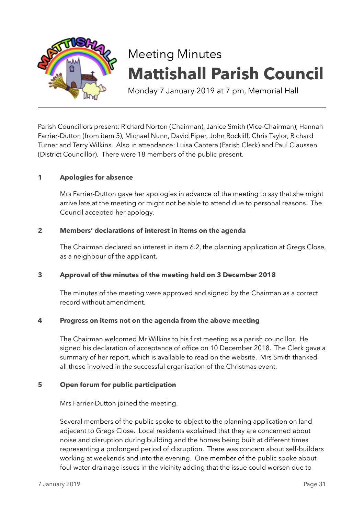

# Meeting Minutes **Mattishall Parish Council**

Monday 7 January 2019 at 7 pm, Memorial Hall

Parish Councillors present: Richard Norton (Chairman), Janice Smith (Vice-Chairman), Hannah Farrier-Dutton (from item 5), Michael Nunn, David Piper, John Rockliff, Chris Taylor, Richard Turner and Terry Wilkins. Also in attendance: Luisa Cantera (Parish Clerk) and Paul Claussen (District Councillor). There were 18 members of the public present.

## **1 Apologies for absence**

Mrs Farrier-Dutton gave her apologies in advance of the meeting to say that she might arrive late at the meeting or might not be able to attend due to personal reasons. The Council accepted her apology.

## **2 Members' declarations of interest in items on the agenda**

The Chairman declared an interest in item 6.2, the planning application at Gregs Close, as a neighbour of the applicant.

## **3 Approval of the minutes of the meeting held on 3 December 2018**

The minutes of the meeting were approved and signed by the Chairman as a correct record without amendment.

## **4 Progress on items not on the agenda from the above meeting**

The Chairman welcomed Mr Wilkins to his first meeting as a parish councillor. He signed his declaration of acceptance of office on 10 December 2018. The Clerk gave a summary of her report, which is available to read on the website. Mrs Smith thanked all those involved in the successful organisation of the Christmas event.

## **5 Open forum for public participation**

Mrs Farrier-Dutton joined the meeting.

Several members of the public spoke to object to the planning application on land adjacent to Gregs Close. Local residents explained that they are concerned about noise and disruption during building and the homes being built at different times representing a prolonged period of disruption. There was concern about self-builders working at weekends and into the evening. One member of the public spoke about foul water drainage issues in the vicinity adding that the issue could worsen due to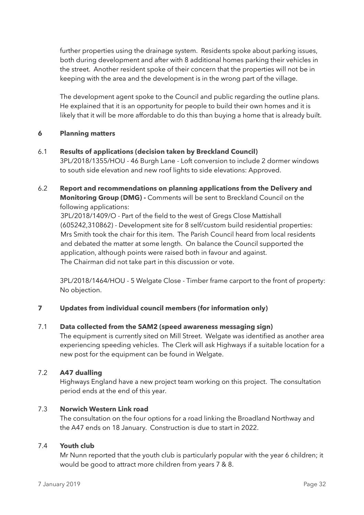further properties using the drainage system. Residents spoke about parking issues, both during development and after with 8 additional homes parking their vehicles in the street. Another resident spoke of their concern that the properties will not be in keeping with the area and the development is in the wrong part of the village.

The development agent spoke to the Council and public regarding the outline plans. He explained that it is an opportunity for people to build their own homes and it is likely that it will be more affordable to do this than buying a home that is already built.

## **6 Planning matters**

- 6.1 **Results of applications (decision taken by Breckland Council)** 3PL/2018/1355/HOU - 46 Burgh Lane - Loft conversion to include 2 dormer windows to south side elevation and new roof lights to side elevations: Approved.
- 6.2 **Report and recommendations on planning applications from the Delivery and Monitoring Group (DMG) -** Comments will be sent to Breckland Council on the following applications:

3PL/2018/1409/O - Part of the field to the west of Gregs Close Mattishall (605242,310862) - Development site for 8 self/custom build residential properties: Mrs Smith took the chair for this item. The Parish Council heard from local residents and debated the matter at some length. On balance the Council supported the application, although points were raised both in favour and against. The Chairman did not take part in this discussion or vote.

3PL/2018/1464/HOU - 5 Welgate Close - Timber frame carport to the front of property: No objection.

## **7 Updates from individual council members (for information only)**

## 7.1 **Data collected from the SAM2 (speed awareness messaging sign)**

The equipment is currently sited on Mill Street. Welgate was identified as another area experiencing speeding vehicles. The Clerk will ask Highways if a suitable location for a new post for the equipment can be found in Welgate.

#### 7.2 **A47 dualling**

Highways England have a new project team working on this project. The consultation period ends at the end of this year.

#### 7.3 **Norwich Western Link road**

The consultation on the four options for a road linking the Broadland Northway and the A47 ends on 18 January. Construction is due to start in 2022.

#### 7.4 **Youth club**

Mr Nunn reported that the youth club is particularly popular with the year 6 children; it would be good to attract more children from years 7 & 8.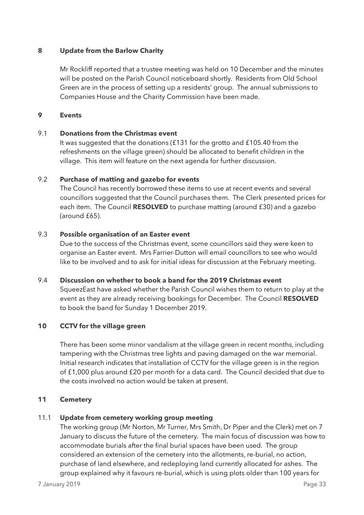### **8 Update from the Barlow Charity**

Mr Rockliff reported that a trustee meeting was held on 10 December and the minutes will be posted on the Parish Council noticeboard shortly. Residents from Old School Green are in the process of setting up a residents' group. The annual submissions to Companies House and the Charity Commission have been made.

#### **9 Events**

#### 9.1 **Donations from the Christmas event**

It was suggested that the donations (£131 for the grotto and £105.40 from the refreshments on the village green) should be allocated to benefit children in the village. This item will feature on the next agenda for further discussion.

#### 9.2 **Purchase of matting and gazebo for events**

The Council has recently borrowed these items to use at recent events and several councillors suggested that the Council purchases them. The Clerk presented prices for each item. The Council **RESOLVED** to purchase matting (around £30) and a gazebo (around £65).

#### 9.3 **Possible organisation of an Easter event**

Due to the success of the Christmas event, some councillors said they were keen to organise an Easter event. Mrs Farrier-Dutton will email councillors to see who would like to be involved and to ask for initial ideas for discussion at the February meeting.

#### 9.4 **Discussion on whether to book a band for the 2019 Christmas event**

SqueezEast have asked whether the Parish Council wishes them to return to play at the event as they are already receiving bookings for December. The Council **RESOLVED** to book the band for Sunday 1 December 2019.

## **10 CCTV for the village green**

There has been some minor vandalism at the village green in recent months, including tampering with the Christmas tree lights and paving damaged on the war memorial. Initial research indicates that installation of CCTV for the village green is in the region of £1,000 plus around £20 per month for a data card. The Council decided that due to the costs involved no action would be taken at present.

#### **11 Cemetery**

## 11.1 **Update from cemetery working group meeting**

The working group (Mr Norton, Mr Turner, Mrs Smith, Dr Piper and the Clerk) met on 7 January to discuss the future of the cemetery. The main focus of discussion was how to accommodate burials after the final burial spaces have been used. The group considered an extension of the cemetery into the allotments, re-burial, no action, purchase of land elsewhere, and redeploying land currently allocated for ashes. The group explained why it favours re-burial, which is using plots older than 100 years for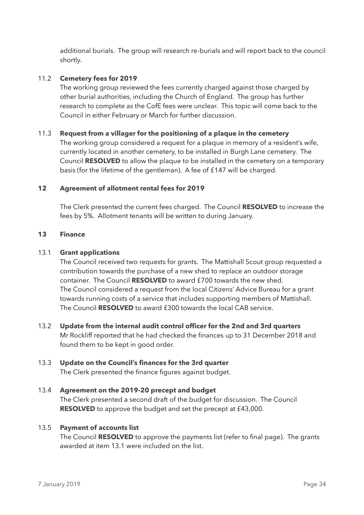additional burials. The group will research re-burials and will report back to the council shortly.

## 11.2 **Cemetery fees for 2019**

The working group reviewed the fees currently charged against those charged by other burial authorities, including the Church of England. The group has further research to complete as the CofE fees were unclear. This topic will come back to the Council in either February or March for further discussion.

## 11.3 **Request from a villager for the positioning of a plaque in the cemetery**

The working group considered a request for a plaque in memory of a resident's wife, currently located in another cemetery, to be installed in Burgh Lane cemetery. The Council **RESOLVED** to allow the plaque to be installed in the cemetery on a temporary basis (for the lifetime of the gentleman). A fee of £147 will be charged.

## **12 Agreement of allotment rental fees for 2019**

The Clerk presented the current fees charged. The Council **RESOLVED** to increase the fees by 5%. Allotment tenants will be written to during January.

## **13 Finance**

## 13.1 **Grant applications**

The Council received two requests for grants. The Mattishall Scout group requested a contribution towards the purchase of a new shed to replace an outdoor storage container. The Council **RESOLVED** to award £700 towards the new shed. The Council considered a request from the local Citizens' Advice Bureau for a grant towards running costs of a service that includes supporting members of Mattishall. The Council **RESOLVED** to award £300 towards the local CAB service.

13.2 **Update from the internal audit control officer for the 2nd and 3rd quarters**  Mr Rockliff reported that he had checked the finances up to 31 December 2018 and found them to be kept in good order.

# 13.3 **Update on the Council's finances for the 3rd quarter**

The Clerk presented the finance figures against budget.

# 13.4 **Agreement on the 2019-20 precept and budget**  The Clerk presented a second draft of the budget for discussion. The Council **RESOLVED** to approve the budget and set the precept at £43,000.

## 13.5 **Payment of accounts list**

The Council **RESOLVED** to approve the payments list (refer to final page). The grants awarded at item 13.1 were included on the list.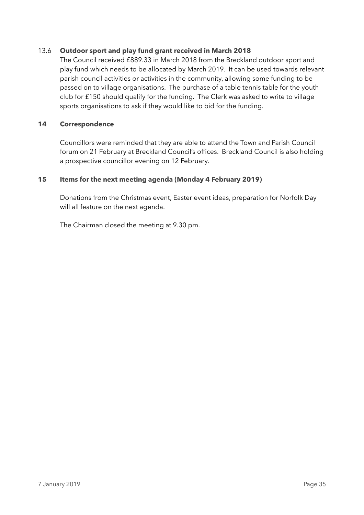## 13.6 **Outdoor sport and play fund grant received in March 2018**

The Council received £889.33 in March 2018 from the Breckland outdoor sport and play fund which needs to be allocated by March 2019. It can be used towards relevant parish council activities or activities in the community, allowing some funding to be passed on to village organisations. The purchase of a table tennis table for the youth club for £150 should qualify for the funding. The Clerk was asked to write to village sports organisations to ask if they would like to bid for the funding.

## **14 Correspondence**

Councillors were reminded that they are able to attend the Town and Parish Council forum on 21 February at Breckland Council's offices. Breckland Council is also holding a prospective councillor evening on 12 February.

## **15 Items for the next meeting agenda (Monday 4 February 2019)**

Donations from the Christmas event, Easter event ideas, preparation for Norfolk Day will all feature on the next agenda.

The Chairman closed the meeting at 9.30 pm.